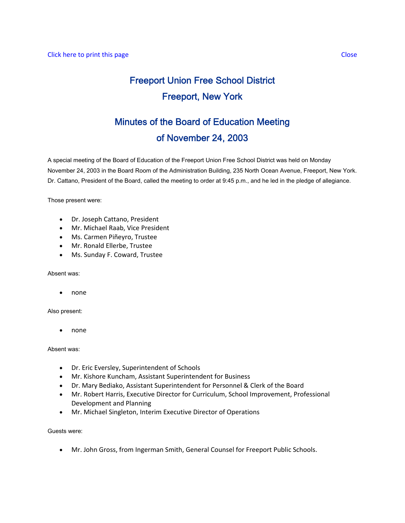## Freeport Union Free School District Freeport, New York

## Minutes of the Board of Education Meeting of November 24, 2003

A special meeting of the Board of Education of the Freeport Union Free School District was held on Monday November 24, 2003 in the Board Room of the Administration Building, 235 North Ocean Avenue, Freeport, New York. Dr. Cattano, President of the Board, called the meeting to order at 9:45 p.m., and he led in the pledge of allegiance.

Those present were:

- Dr. Joseph Cattano, President
- Mr. Michael Raab, Vice President
- Ms. Carmen Piñeyro, Trustee
- Mr. Ronald Ellerbe, Trustee
- Ms. Sunday F. Coward, Trustee

Absent was:

• none

Also present:

• none

Absent was:

- Dr. Eric Eversley, Superintendent of Schools
- Mr. Kishore Kuncham, Assistant Superintendent for Business
- Dr. Mary Bediako, Assistant Superintendent for Personnel & Clerk of the Board
- Mr. Robert Harris, Executive Director for Curriculum, School Improvement, Professional Development and Planning
- Mr. Michael Singleton, Interim Executive Director of Operations

Guests were:

• Mr. John Gross, from Ingerman Smith, General Counsel for Freeport Public Schools.